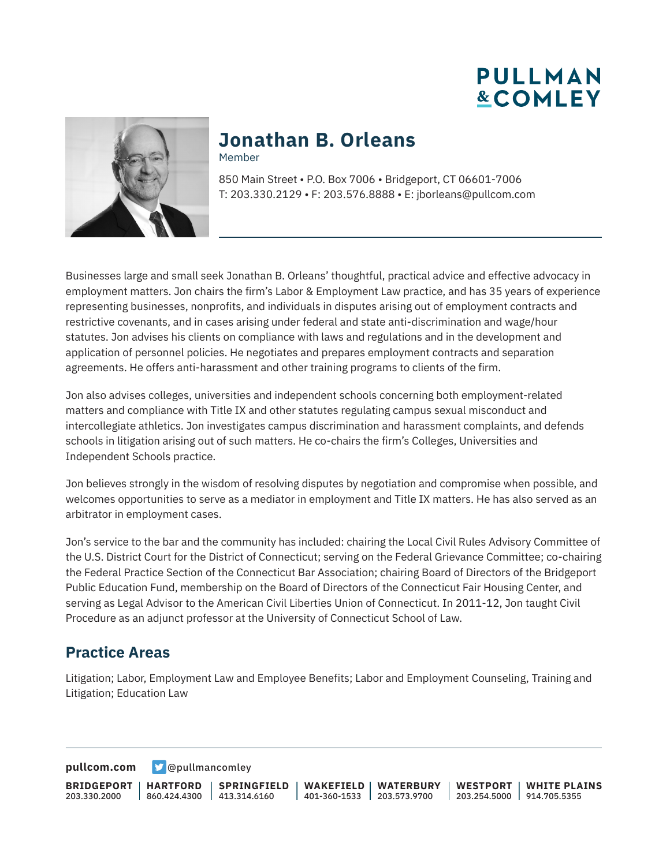



#### **Jonathan B. Orleans** Member

850 Main Street • P.O. Box 7006 • Bridgeport, CT 06601-7006 T: 203.330.2129 • F: 203.576.8888 • E: jborleans@pullcom.com

Businesses large and small seek Jonathan B. Orleans' thoughtful, practical advice and effective advocacy in employment matters. Jon chairs the firm's Labor & Employment Law practice, and has 35 years of experience representing businesses, nonprofits, and individuals in disputes arising out of employment contracts and restrictive covenants, and in cases arising under federal and state anti-discrimination and wage/hour statutes. Jon advises his clients on compliance with laws and regulations and in the development and application of personnel policies. He negotiates and prepares employment contracts and separation agreements. He offers anti-harassment and other training programs to clients of the firm.

Jon also advises colleges, universities and independent schools concerning both employment-related matters and compliance with Title IX and other statutes regulating campus sexual misconduct and intercollegiate athletics. Jon investigates campus discrimination and harassment complaints, and defends schools in litigation arising out of such matters. He co-chairs the firm's Colleges, Universities and Independent Schools practice.

Jon believes strongly in the wisdom of resolving disputes by negotiation and compromise when possible, and welcomes opportunities to serve as a mediator in employment and Title IX matters. He has also served as an arbitrator in employment cases.

Jon's service to the bar and the community has included: chairing the Local Civil Rules Advisory Committee of the U.S. District Court for the District of Connecticut; serving on the Federal Grievance Committee; co-chairing the Federal Practice Section of the Connecticut Bar Association; chairing Board of Directors of the Bridgeport Public Education Fund, membership on the Board of Directors of the Connecticut Fair Housing Center, and serving as Legal Advisor to the American Civil Liberties Union of Connecticut. In 2011-12, Jon taught Civil Procedure as an adjunct professor at the University of Connecticut School of Law.

#### **Practice Areas**

Litigation; Labor, Employment Law and Employee Benefits; Labor and Employment Counseling, Training and Litigation; Education Law

**[pullcom.com](https://www.pullcom.com) g** [@pullmancomley](https://twitter.com/PullmanComley)

**BRIDGEPORT** 203.330.2000

**HARTFORD**

860.424.4300 413.314.6160 **SPRINGFIELD**

**WAKEFIELD WATERBURY** 401-360-1533 203.573.9700

**WESTPORT WHITE PLAINS** 203.254.5000 914.705.5355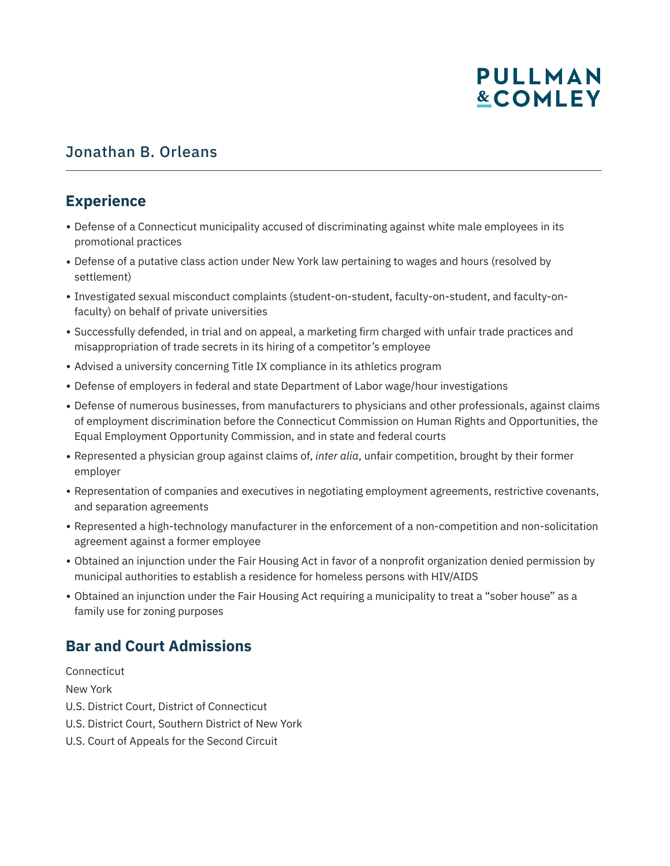# Jonathan B. Orleans

## **Experience**

- Defense of a Connecticut municipality accused of discriminating against white male employees in its promotional practices
- Defense of a putative class action under New York law pertaining to wages and hours (resolved by settlement)
- Investigated sexual misconduct complaints (student-on-student, faculty-on-student, and faculty-onfaculty) on behalf of private universities
- Successfully defended, in trial and on appeal, a marketing firm charged with unfair trade practices and misappropriation of trade secrets in its hiring of a competitor's employee
- Advised a university concerning Title IX compliance in its athletics program
- Defense of employers in federal and state Department of Labor wage/hour investigations
- Defense of numerous businesses, from manufacturers to physicians and other professionals, against claims of employment discrimination before the Connecticut Commission on Human Rights and Opportunities, the Equal Employment Opportunity Commission, and in state and federal courts
- Represented a physician group against claims of, *inter alia*, unfair competition, brought by their former employer
- Representation of companies and executives in negotiating employment agreements, restrictive covenants, and separation agreements
- Represented a high-technology manufacturer in the enforcement of a non-competition and non-solicitation agreement against a former employee
- Obtained an injunction under the Fair Housing Act in favor of a nonprofit organization denied permission by municipal authorities to establish a residence for homeless persons with HIV/AIDS
- Obtained an injunction under the Fair Housing Act requiring a municipality to treat a "sober house" as a family use for zoning purposes

# **Bar and Court Admissions**

**Connecticut** New York U.S. District Court, District of Connecticut U.S. District Court, Southern District of New York U.S. Court of Appeals for the Second Circuit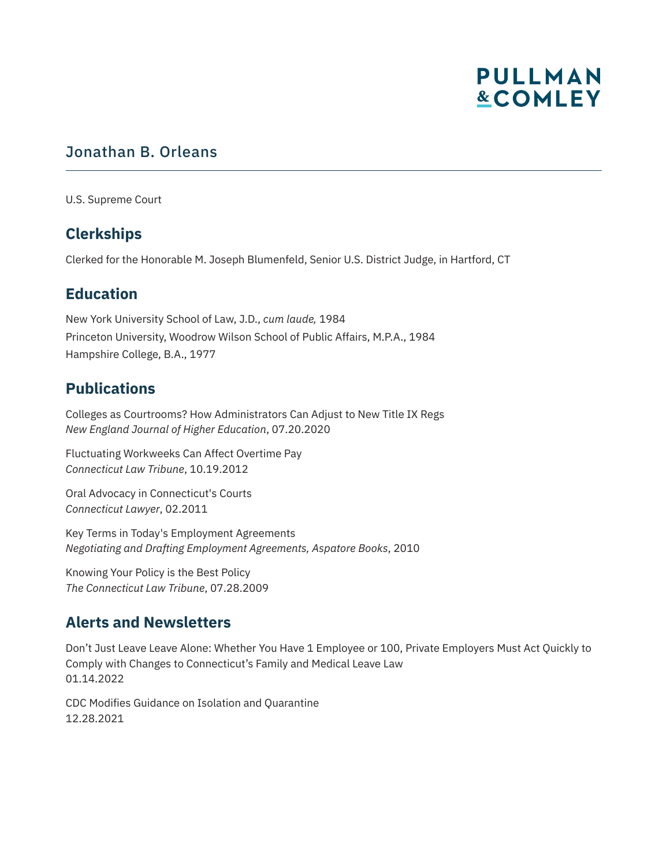# Jonathan B. Orleans

U.S. Supreme Court

# **Clerkships**

Clerked for the Honorable M. Joseph Blumenfeld, Senior U.S. District Judge, in Hartford, CT

#### **Education**

New York University School of Law, J.D., *cum laude,* 1984 Princeton University, Woodrow Wilson School of Public Affairs, M.P.A., 1984 Hampshire College, B.A., 1977

#### **Publications**

Colleges as Courtrooms? How Administrators Can Adjust to New Title IX Regs *New England Journal of Higher Education*, 07.20.2020

Fluctuating Workweeks Can Affect Overtime Pay *Connecticut Law Tribune*, 10.19.2012

Oral Advocacy in Connecticut's Courts *Connecticut Lawyer*, 02.2011

Key Terms in Today's Employment Agreements *Negotiating and Drafting Employment Agreements, Aspatore Books*, 2010

Knowing Your Policy is the Best Policy *The Connecticut Law Tribune*, 07.28.2009

#### **Alerts and Newsletters**

Don't Just Leave Leave Alone: Whether You Have 1 Employee or 100, Private Employers Must Act Quickly to Comply with Changes to Connecticut's Family and Medical Leave Law 01.14.2022

CDC Modifies Guidance on Isolation and Quarantine 12.28.2021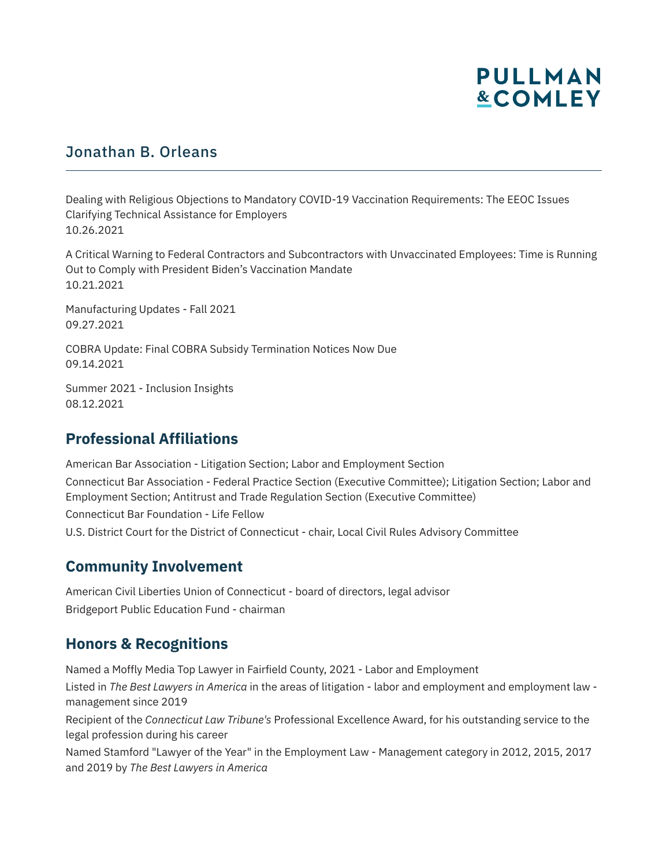# Jonathan B. Orleans

Dealing with Religious Objections to Mandatory COVID-19 Vaccination Requirements: The EEOC Issues Clarifying Technical Assistance for Employers 10.26.2021

A Critical Warning to Federal Contractors and Subcontractors with Unvaccinated Employees: Time is Running Out to Comply with President Biden's Vaccination Mandate 10.21.2021

Manufacturing Updates - Fall 2021 09.27.2021

COBRA Update: Final COBRA Subsidy Termination Notices Now Due 09.14.2021

Summer 2021 - Inclusion Insights 08.12.2021

## **Professional Affiliations**

American Bar Association - Litigation Section; Labor and Employment Section Connecticut Bar Association - Federal Practice Section (Executive Committee); Litigation Section; Labor and Employment Section; Antitrust and Trade Regulation Section (Executive Committee) Connecticut Bar Foundation - Life Fellow U.S. District Court for the District of Connecticut - chair, Local Civil Rules Advisory Committee

#### **Community Involvement**

American Civil Liberties Union of Connecticut - board of directors, legal advisor Bridgeport Public Education Fund - chairman

#### **Honors & Recognitions**

Named a Moffly Media Top Lawyer in Fairfield County, 2021 - Labor and Employment

Listed in *The Best Lawyers in America* in the areas of litigation - labor and employment and employment law management since 2019

Recipient of the *Connecticut Law Tribune's* Professional Excellence Award, for his outstanding service to the legal profession during his career

Named Stamford "Lawyer of the Year" in the Employment Law - Management category in 2012, 2015, 2017 and 2019 by *The Best Lawyers in America*